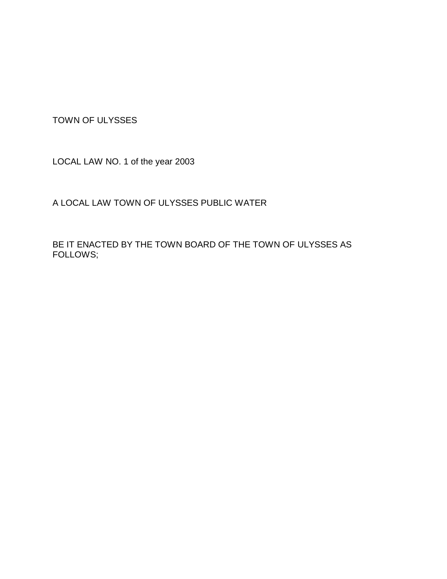TOWN OF ULYSSES

LOCAL LAW NO. 1 of the year 2003

A LOCAL LAW TOWN OF ULYSSES PUBLIC WATER

BE IT ENACTED BY THE TOWN BOARD OF THE TOWN OF ULYSSES AS FOLLOWS;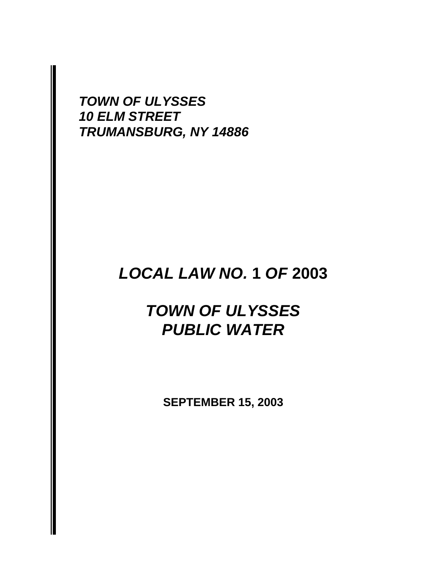*TOWN OF ULYSSES 10 ELM STREET TRUMANSBURG, NY 14886*

# *LOCAL LAW NO.* **1** *OF* **2003**

# *TOWN OF ULYSSES PUBLIC WATER*

**SEPTEMBER 15, 2003**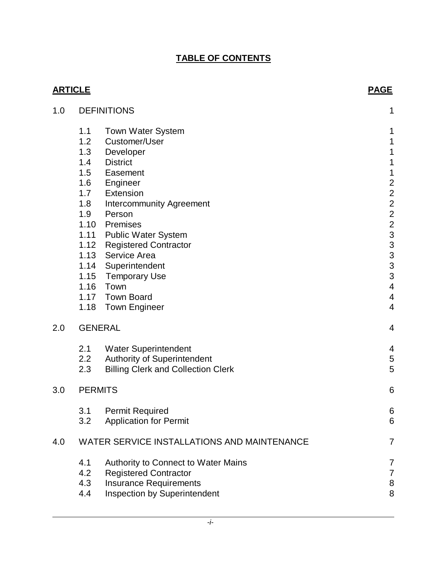# **TABLE OF CONTENTS**

|     | <b>ARTICLE</b>                              |                                           |                          |
|-----|---------------------------------------------|-------------------------------------------|--------------------------|
| 1.0 | <b>DEFINITIONS</b>                          |                                           |                          |
|     | 1.1                                         | <b>Town Water System</b>                  | 1                        |
|     | 1.2                                         | Customer/User                             | 1                        |
|     | 1.3                                         | Developer                                 | 1                        |
|     | 1.4                                         | <b>District</b>                           | $\mathbf 1$              |
|     | 1.5                                         | Easement                                  | $\mathbf 1$              |
|     | 1.6                                         | Engineer                                  |                          |
|     | 1.7                                         | Extension                                 |                          |
|     | 1.8<br>1.9                                  | <b>Intercommunity Agreement</b><br>Person |                          |
|     | 1.10                                        | Premises                                  |                          |
|     |                                             | 1.11 Public Water System                  |                          |
|     | 1.12                                        | <b>Registered Contractor</b>              | 22223333333              |
|     | 1.13                                        | Service Area                              |                          |
|     | 1.14                                        | Superintendent                            |                          |
|     | 1.15                                        | Temporary Use                             |                          |
|     |                                             | 1.16 Town                                 | $\overline{\mathbf{4}}$  |
|     | 1.17                                        | <b>Town Board</b>                         | $\overline{\mathcal{A}}$ |
|     |                                             | 1.18 Town Engineer                        | $\overline{4}$           |
| 2.0 |                                             | <b>GENERAL</b>                            | 4                        |
|     | 2.1                                         | <b>Water Superintendent</b>               | 4                        |
|     | 2.2                                         | <b>Authority of Superintendent</b>        | $\mathbf 5$              |
|     | 2.3                                         | <b>Billing Clerk and Collection Clerk</b> | 5                        |
| 3.0 | <b>PERMITS</b>                              |                                           |                          |
|     | 3.1                                         | <b>Permit Required</b>                    | 6                        |
|     | 3.2                                         | <b>Application for Permit</b>             | 6                        |
| 4.0 | WATER SERVICE INSTALLATIONS AND MAINTENANCE | $\overline{7}$                            |                          |
|     | 4.1                                         | Authority to Connect to Water Mains       | 7                        |
|     | 4.2                                         | <b>Registered Contractor</b>              | $\overline{7}$           |
|     | 4.3                                         | <b>Insurance Requirements</b>             | $\bf 8$                  |
|     | 4.4                                         | Inspection by Superintendent              | 8                        |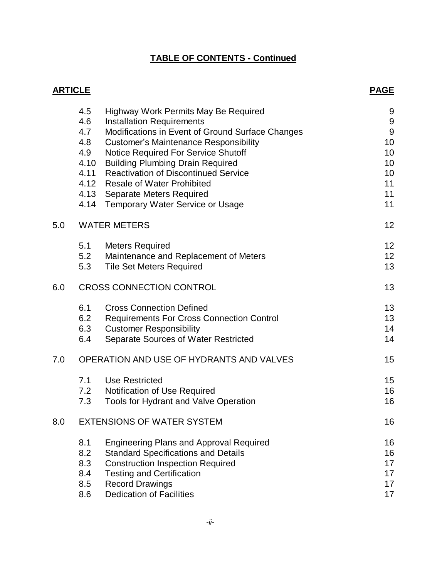# **TABLE OF CONTENTS - Continued**

| <b>ARTICLE</b> |                                          |                                                  | <b>PAGE</b>      |
|----------------|------------------------------------------|--------------------------------------------------|------------------|
|                | 4.5                                      | Highway Work Permits May Be Required             | 9                |
|                | 4.6                                      | <b>Installation Requirements</b>                 | $\boldsymbol{9}$ |
|                | 4.7                                      | Modifications in Event of Ground Surface Changes | 9                |
|                | 4.8                                      | <b>Customer's Maintenance Responsibility</b>     | 10               |
|                | 4.9                                      | <b>Notice Required For Service Shutoff</b>       | 10               |
|                | 4.10                                     | <b>Building Plumbing Drain Required</b>          | 10               |
|                | 4.11                                     | <b>Reactivation of Discontinued Service</b>      | 10               |
|                | 4.12                                     | <b>Resale of Water Prohibited</b>                | 11               |
|                | 4.13                                     | Separate Meters Required                         | 11               |
|                | 4.14                                     | <b>Temporary Water Service or Usage</b>          | 11               |
| 5.0            | <b>WATER METERS</b>                      |                                                  |                  |
|                | 5.1                                      | <b>Meters Required</b>                           | 12               |
|                | 5.2                                      | Maintenance and Replacement of Meters            | 12               |
|                | 5.3                                      | <b>Tile Set Meters Required</b>                  | 13               |
| 6.0            | <b>CROSS CONNECTION CONTROL</b>          |                                                  |                  |
|                | 6.1                                      | <b>Cross Connection Defined</b>                  | 13               |
|                | 6.2                                      | <b>Requirements For Cross Connection Control</b> | 13               |
|                | 6.3                                      | <b>Customer Responsibility</b>                   | 14               |
|                | 6.4                                      | Separate Sources of Water Restricted             | 14               |
| 7.0            | OPERATION AND USE OF HYDRANTS AND VALVES |                                                  | 15               |
|                | 7.1                                      | <b>Use Restricted</b>                            | 15               |
|                | 7.2                                      | Notification of Use Required                     | 16               |
|                | 7.3                                      | <b>Tools for Hydrant and Valve Operation</b>     | 16               |
| 8.0            | <b>EXTENSIONS OF WATER SYSTEM</b>        |                                                  |                  |
|                | 8.1                                      | <b>Engineering Plans and Approval Required</b>   | 16               |
|                | 8.2                                      | <b>Standard Specifications and Details</b>       | 16               |
|                | 8.3                                      | <b>Construction Inspection Required</b>          | 17               |
|                | 8.4                                      | <b>Testing and Certification</b>                 | 17               |
|                | 8.5                                      | <b>Record Drawings</b>                           | 17               |
|                | 8.6                                      | <b>Dedication of Facilities</b>                  | 17               |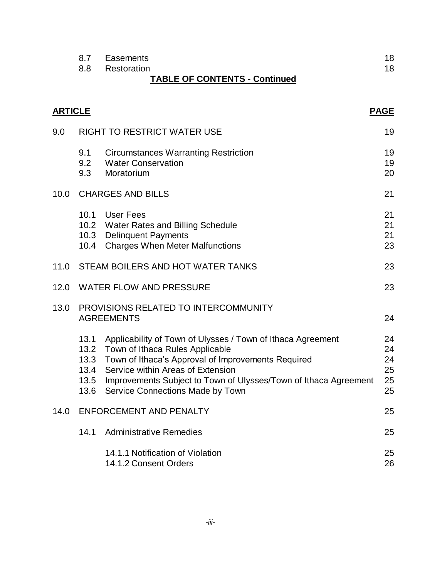| 8.7 | Easements                            |  |
|-----|--------------------------------------|--|
|     | 8.8 Restoration                      |  |
|     | <b>TABLE OF CONTENTS - Continued</b> |  |

|      | <b>ARTICLE</b><br><b>PAGE</b>                             |                                                                                                                                                                                                                                                                                                             |                                  |
|------|-----------------------------------------------------------|-------------------------------------------------------------------------------------------------------------------------------------------------------------------------------------------------------------------------------------------------------------------------------------------------------------|----------------------------------|
| 9.0  | <b>RIGHT TO RESTRICT WATER USE</b>                        |                                                                                                                                                                                                                                                                                                             |                                  |
|      | 9.1<br>9.2<br>9.3                                         | Circumstances Warranting Restriction<br><b>Water Conservation</b><br>Moratorium                                                                                                                                                                                                                             | 19<br>19<br>20                   |
| 10.0 | <b>CHARGES AND BILLS</b>                                  |                                                                                                                                                                                                                                                                                                             | 21                               |
|      |                                                           | 10.1 User Fees<br>10.2 Water Rates and Billing Schedule<br>10.3 Delinquent Payments<br>10.4 Charges When Meter Malfunctions                                                                                                                                                                                 | 21<br>21<br>21<br>23             |
| 11.0 |                                                           | STEAM BOILERS AND HOT WATER TANKS                                                                                                                                                                                                                                                                           |                                  |
|      |                                                           | 23<br>12.0 WATER FLOW AND PRESSURE                                                                                                                                                                                                                                                                          |                                  |
| 13.0 | PROVISIONS RELATED TO INTERCOMMUNITY<br><b>AGREEMENTS</b> |                                                                                                                                                                                                                                                                                                             | 24                               |
|      | 13.1<br>13.4<br>13.5<br>13.6                              | Applicability of Town of Ulysses / Town of Ithaca Agreement<br>13.2 Town of Ithaca Rules Applicable<br>13.3 Town of Ithaca's Approval of Improvements Required<br>Service within Areas of Extension<br>Improvements Subject to Town of Ulysses/Town of Ithaca Agreement<br>Service Connections Made by Town | 24<br>24<br>24<br>25<br>25<br>25 |
| 14.0 | <b>ENFORCEMENT AND PENALTY</b>                            |                                                                                                                                                                                                                                                                                                             | 25                               |
|      | 14.1                                                      | <b>Administrative Remedies</b>                                                                                                                                                                                                                                                                              | 25                               |
|      |                                                           | 14.1.1 Notification of Violation<br>14.1.2 Consent Orders                                                                                                                                                                                                                                                   | 25<br>26                         |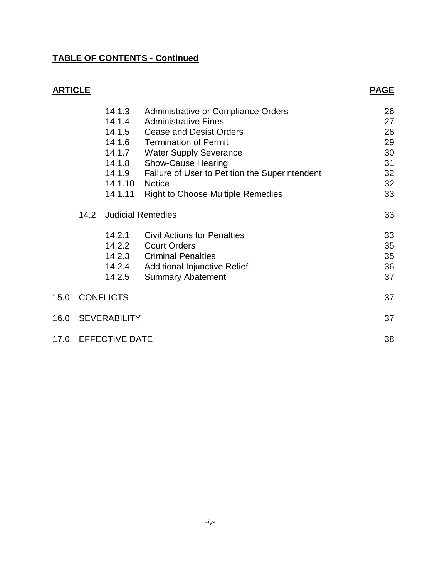# **TABLE OF CONTENTS - Continued**

| <b>ARTICLE</b> |                       |                                                                                |                                                                                                                                                                                                                                                                                                                   | <u>PAGE</u>                                        |
|----------------|-----------------------|--------------------------------------------------------------------------------|-------------------------------------------------------------------------------------------------------------------------------------------------------------------------------------------------------------------------------------------------------------------------------------------------------------------|----------------------------------------------------|
|                |                       | 14.1.3<br>14.1.4<br>14.1.6<br>14.1.7<br>14.1.8<br>14.1.9<br>14.1.10<br>14.1.11 | Administrative or Compliance Orders<br><b>Administrative Fines</b><br>14.1.5 Cease and Desist Orders<br><b>Termination of Permit</b><br><b>Water Supply Severance</b><br><b>Show-Cause Hearing</b><br>Failure of User to Petition the Superintendent<br><b>Notice</b><br><b>Right to Choose Multiple Remedies</b> | 26<br>27<br>28<br>29<br>30<br>31<br>32<br>32<br>33 |
|                | 14.2                  |                                                                                | <b>Judicial Remedies</b>                                                                                                                                                                                                                                                                                          | 33                                                 |
|                |                       | 14.2.1<br>14.2.4<br>14.2.5                                                     | <b>Civil Actions for Penalties</b><br>14.2.2 Court Orders<br>14.2.3 Criminal Penalties<br><b>Additional Injunctive Relief</b><br><b>Summary Abatement</b>                                                                                                                                                         | 33<br>35<br>35<br>36<br>37                         |
| 15.0           | <b>CONFLICTS</b>      |                                                                                | 37                                                                                                                                                                                                                                                                                                                |                                                    |
| 16.0           | <b>SEVERABILITY</b>   |                                                                                | 37                                                                                                                                                                                                                                                                                                                |                                                    |
| 17.0           | <b>EFFECTIVE DATE</b> |                                                                                |                                                                                                                                                                                                                                                                                                                   | 38                                                 |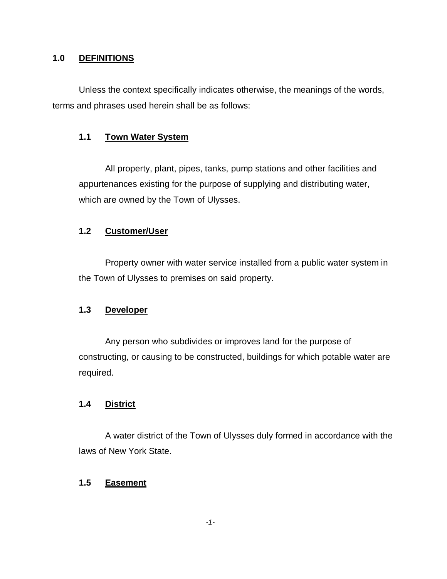#### **1.0 DEFINITIONS**

Unless the context specifically indicates otherwise, the meanings of the words, terms and phrases used herein shall be as follows:

### **1.1 Town Water System**

All property, plant, pipes, tanks, pump stations and other facilities and appurtenances existing for the purpose of supplying and distributing water, which are owned by the Town of Ulysses.

### **1.2 Customer/User**

Property owner with water service installed from a public water system in the Town of Ulysses to premises on said property.

### **1.3 Developer**

Any person who subdivides or improves land for the purpose of constructing, or causing to be constructed, buildings for which potable water are required.

## **1.4 District**

A water district of the Town of Ulysses duly formed in accordance with the laws of New York State.

### **1.5 Easement**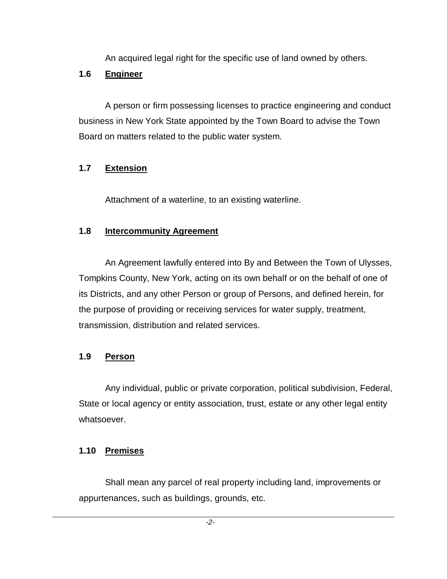An acquired legal right for the specific use of land owned by others.

# **1.6 Engineer**

A person or firm possessing licenses to practice engineering and conduct business in New York State appointed by the Town Board to advise the Town Board on matters related to the public water system.

# **1.7 Extension**

Attachment of a waterline, to an existing waterline.

# **1.8 Intercommunity Agreement**

An Agreement lawfully entered into By and Between the Town of Ulysses, Tompkins County, New York, acting on its own behalf or on the behalf of one of its Districts, and any other Person or group of Persons, and defined herein, for the purpose of providing or receiving services for water supply, treatment, transmission, distribution and related services.

# **1.9 Person**

Any individual, public or private corporation, political subdivision, Federal, State or local agency or entity association, trust, estate or any other legal entity whatsoever.

# **1.10 Premises**

Shall mean any parcel of real property including land, improvements or appurtenances, such as buildings, grounds, etc.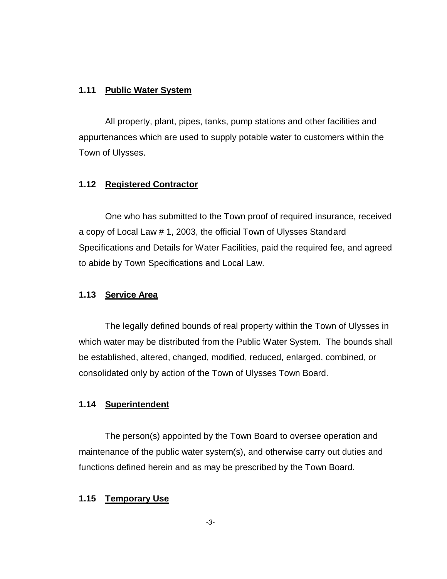#### **1.11 Public Water System**

All property, plant, pipes, tanks, pump stations and other facilities and appurtenances which are used to supply potable water to customers within the Town of Ulysses.

### **1.12 Registered Contractor**

One who has submitted to the Town proof of required insurance, received a copy of Local Law # 1, 2003, the official Town of Ulysses Standard Specifications and Details for Water Facilities, paid the required fee, and agreed to abide by Town Specifications and Local Law.

### **1.13 Service Area**

The legally defined bounds of real property within the Town of Ulysses in which water may be distributed from the Public Water System. The bounds shall be established, altered, changed, modified, reduced, enlarged, combined, or consolidated only by action of the Town of Ulysses Town Board.

### **1.14 Superintendent**

The person(s) appointed by the Town Board to oversee operation and maintenance of the public water system(s), and otherwise carry out duties and functions defined herein and as may be prescribed by the Town Board.

### **1.15 Temporary Use**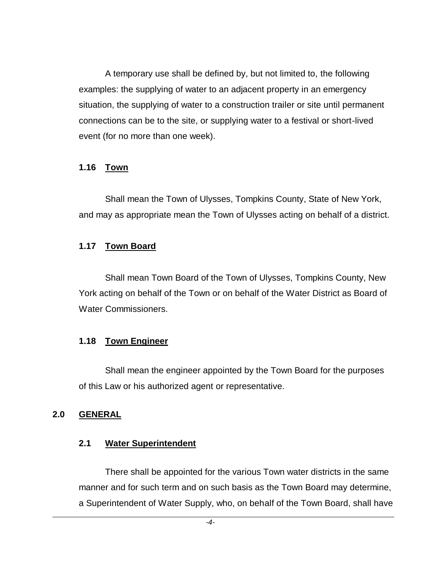A temporary use shall be defined by, but not limited to, the following examples: the supplying of water to an adjacent property in an emergency situation, the supplying of water to a construction trailer or site until permanent connections can be to the site, or supplying water to a festival or short-lived event (for no more than one week).

### **1.16 Town**

Shall mean the Town of Ulysses, Tompkins County, State of New York, and may as appropriate mean the Town of Ulysses acting on behalf of a district.

## **1.17 Town Board**

Shall mean Town Board of the Town of Ulysses, Tompkins County, New York acting on behalf of the Town or on behalf of the Water District as Board of Water Commissioners.

## **1.18 Town Engineer**

Shall mean the engineer appointed by the Town Board for the purposes of this Law or his authorized agent or representative.

### **2.0 GENERAL**

### **2.1 Water Superintendent**

There shall be appointed for the various Town water districts in the same manner and for such term and on such basis as the Town Board may determine, a Superintendent of Water Supply, who, on behalf of the Town Board, shall have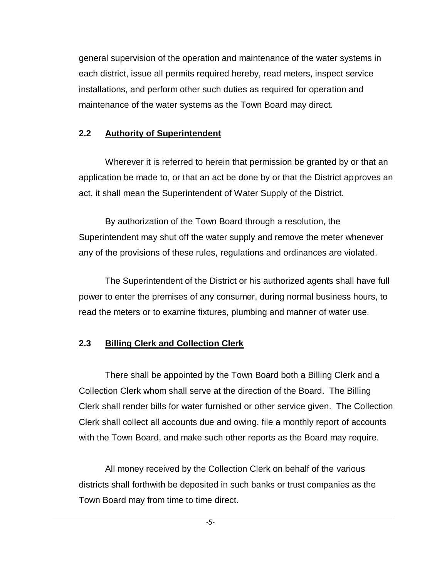general supervision of the operation and maintenance of the water systems in each district, issue all permits required hereby, read meters, inspect service installations, and perform other such duties as required for operation and maintenance of the water systems as the Town Board may direct.

### **2.2 Authority of Superintendent**

Wherever it is referred to herein that permission be granted by or that an application be made to, or that an act be done by or that the District approves an act, it shall mean the Superintendent of Water Supply of the District.

By authorization of the Town Board through a resolution, the Superintendent may shut off the water supply and remove the meter whenever any of the provisions of these rules, regulations and ordinances are violated.

The Superintendent of the District or his authorized agents shall have full power to enter the premises of any consumer, during normal business hours, to read the meters or to examine fixtures, plumbing and manner of water use.

## **2.3 Billing Clerk and Collection Clerk**

There shall be appointed by the Town Board both a Billing Clerk and a Collection Clerk whom shall serve at the direction of the Board. The Billing Clerk shall render bills for water furnished or other service given. The Collection Clerk shall collect all accounts due and owing, file a monthly report of accounts with the Town Board, and make such other reports as the Board may require.

All money received by the Collection Clerk on behalf of the various districts shall forthwith be deposited in such banks or trust companies as the Town Board may from time to time direct.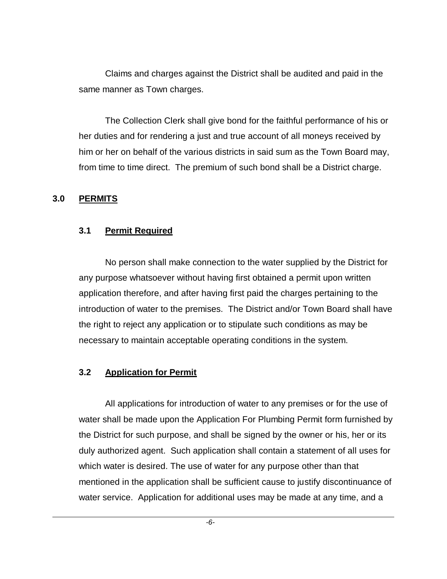Claims and charges against the District shall be audited and paid in the same manner as Town charges.

The Collection Clerk shall give bond for the faithful performance of his or her duties and for rendering a just and true account of all moneys received by him or her on behalf of the various districts in said sum as the Town Board may, from time to time direct. The premium of such bond shall be a District charge.

#### **3.0 PERMITS**

#### **3.1 Permit Required**

No person shall make connection to the water supplied by the District for any purpose whatsoever without having first obtained a permit upon written application therefore, and after having first paid the charges pertaining to the introduction of water to the premises. The District and/or Town Board shall have the right to reject any application or to stipulate such conditions as may be necessary to maintain acceptable operating conditions in the system.

### **3.2 Application for Permit**

All applications for introduction of water to any premises or for the use of water shall be made upon the Application For Plumbing Permit form furnished by the District for such purpose, and shall be signed by the owner or his, her or its duly authorized agent. Such application shall contain a statement of all uses for which water is desired. The use of water for any purpose other than that mentioned in the application shall be sufficient cause to justify discontinuance of water service. Application for additional uses may be made at any time, and a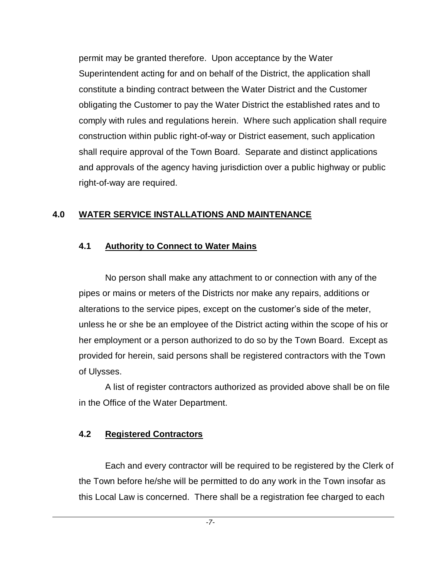permit may be granted therefore. Upon acceptance by the Water Superintendent acting for and on behalf of the District, the application shall constitute a binding contract between the Water District and the Customer obligating the Customer to pay the Water District the established rates and to comply with rules and regulations herein. Where such application shall require construction within public right-of-way or District easement, such application shall require approval of the Town Board. Separate and distinct applications and approvals of the agency having jurisdiction over a public highway or public right-of-way are required.

## **4.0 WATER SERVICE INSTALLATIONS AND MAINTENANCE**

### **4.1 Authority to Connect to Water Mains**

No person shall make any attachment to or connection with any of the pipes or mains or meters of the Districts nor make any repairs, additions or alterations to the service pipes, except on the customer's side of the meter, unless he or she be an employee of the District acting within the scope of his or her employment or a person authorized to do so by the Town Board. Except as provided for herein, said persons shall be registered contractors with the Town of Ulysses.

A list of register contractors authorized as provided above shall be on file in the Office of the Water Department.

## **4.2 Registered Contractors**

Each and every contractor will be required to be registered by the Clerk of the Town before he/she will be permitted to do any work in the Town insofar as this Local Law is concerned. There shall be a registration fee charged to each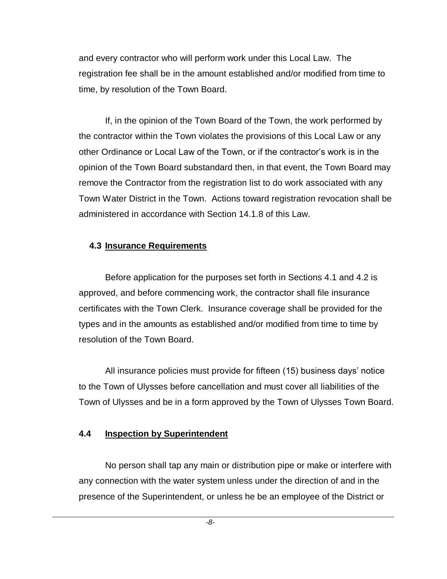and every contractor who will perform work under this Local Law. The registration fee shall be in the amount established and/or modified from time to time, by resolution of the Town Board.

If, in the opinion of the Town Board of the Town, the work performed by the contractor within the Town violates the provisions of this Local Law or any other Ordinance or Local Law of the Town, or if the contractor's work is in the opinion of the Town Board substandard then, in that event, the Town Board may remove the Contractor from the registration list to do work associated with any Town Water District in the Town. Actions toward registration revocation shall be administered in accordance with Section 14.1.8 of this Law.

#### **4.3 Insurance Requirements**

Before application for the purposes set forth in Sections 4.1 and 4.2 is approved, and before commencing work, the contractor shall file insurance certificates with the Town Clerk. Insurance coverage shall be provided for the types and in the amounts as established and/or modified from time to time by resolution of the Town Board.

All insurance policies must provide for fifteen (15) business days' notice to the Town of Ulysses before cancellation and must cover all liabilities of the Town of Ulysses and be in a form approved by the Town of Ulysses Town Board.

### **4.4 Inspection by Superintendent**

No person shall tap any main or distribution pipe or make or interfere with any connection with the water system unless under the direction of and in the presence of the Superintendent, or unless he be an employee of the District or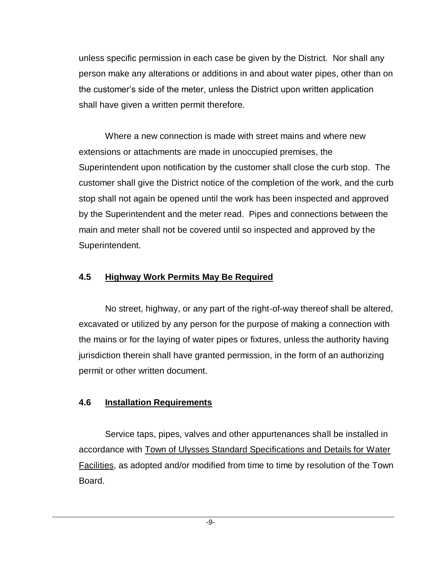unless specific permission in each case be given by the District. Nor shall any person make any alterations or additions in and about water pipes, other than on the customer's side of the meter, unless the District upon written application shall have given a written permit therefore.

Where a new connection is made with street mains and where new extensions or attachments are made in unoccupied premises, the Superintendent upon notification by the customer shall close the curb stop. The customer shall give the District notice of the completion of the work, and the curb stop shall not again be opened until the work has been inspected and approved by the Superintendent and the meter read. Pipes and connections between the main and meter shall not be covered until so inspected and approved by the Superintendent.

### **4.5 Highway Work Permits May Be Required**

No street, highway, or any part of the right-of-way thereof shall be altered, excavated or utilized by any person for the purpose of making a connection with the mains or for the laying of water pipes or fixtures, unless the authority having jurisdiction therein shall have granted permission, in the form of an authorizing permit or other written document.

### **4.6 Installation Requirements**

Service taps, pipes, valves and other appurtenances shall be installed in accordance with Town of Ulysses Standard Specifications and Details for Water Facilities, as adopted and/or modified from time to time by resolution of the Town Board.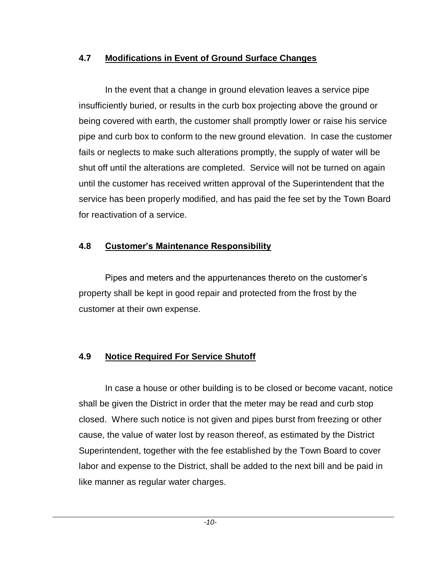### **4.7 Modifications in Event of Ground Surface Changes**

In the event that a change in ground elevation leaves a service pipe insufficiently buried, or results in the curb box projecting above the ground or being covered with earth, the customer shall promptly lower or raise his service pipe and curb box to conform to the new ground elevation. In case the customer fails or neglects to make such alterations promptly, the supply of water will be shut off until the alterations are completed. Service will not be turned on again until the customer has received written approval of the Superintendent that the service has been properly modified, and has paid the fee set by the Town Board for reactivation of a service.

## **4.8 Customer's Maintenance Responsibility**

Pipes and meters and the appurtenances thereto on the customer's property shall be kept in good repair and protected from the frost by the customer at their own expense.

## **4.9 Notice Required For Service Shutoff**

In case a house or other building is to be closed or become vacant, notice shall be given the District in order that the meter may be read and curb stop closed. Where such notice is not given and pipes burst from freezing or other cause, the value of water lost by reason thereof, as estimated by the District Superintendent, together with the fee established by the Town Board to cover labor and expense to the District, shall be added to the next bill and be paid in like manner as regular water charges.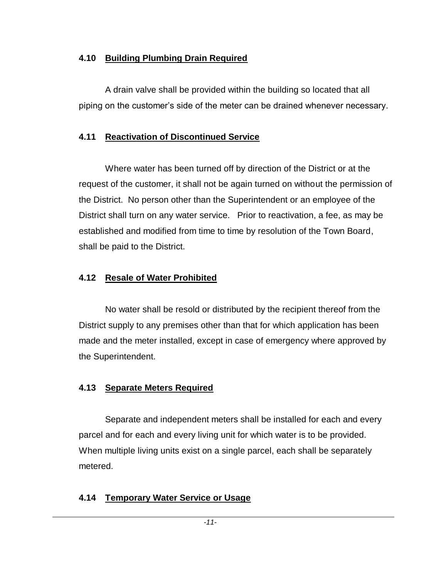### **4.10 Building Plumbing Drain Required**

A drain valve shall be provided within the building so located that all piping on the customer's side of the meter can be drained whenever necessary.

# **4.11 Reactivation of Discontinued Service**

Where water has been turned off by direction of the District or at the request of the customer, it shall not be again turned on without the permission of the District. No person other than the Superintendent or an employee of the District shall turn on any water service. Prior to reactivation, a fee, as may be established and modified from time to time by resolution of the Town Board, shall be paid to the District.

# **4.12 Resale of Water Prohibited**

No water shall be resold or distributed by the recipient thereof from the District supply to any premises other than that for which application has been made and the meter installed, except in case of emergency where approved by the Superintendent.

# **4.13 Separate Meters Required**

Separate and independent meters shall be installed for each and every parcel and for each and every living unit for which water is to be provided. When multiple living units exist on a single parcel, each shall be separately metered.

# **4.14 Temporary Water Service or Usage**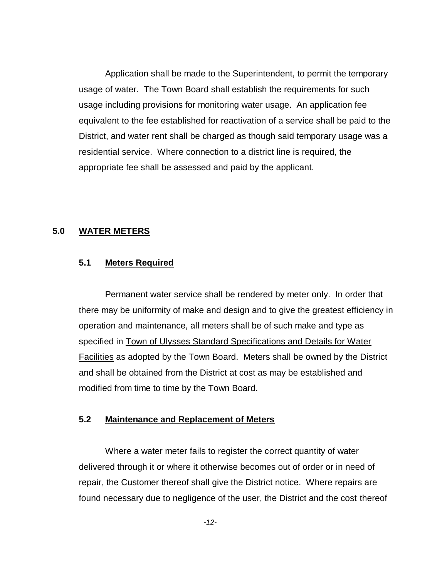Application shall be made to the Superintendent, to permit the temporary usage of water. The Town Board shall establish the requirements for such usage including provisions for monitoring water usage. An application fee equivalent to the fee established for reactivation of a service shall be paid to the District, and water rent shall be charged as though said temporary usage was a residential service. Where connection to a district line is required, the appropriate fee shall be assessed and paid by the applicant.

## **5.0 WATER METERS**

## **5.1 Meters Required**

Permanent water service shall be rendered by meter only. In order that there may be uniformity of make and design and to give the greatest efficiency in operation and maintenance, all meters shall be of such make and type as specified in Town of Ulysses Standard Specifications and Details for Water Facilities as adopted by the Town Board. Meters shall be owned by the District and shall be obtained from the District at cost as may be established and modified from time to time by the Town Board.

## **5.2 Maintenance and Replacement of Meters**

Where a water meter fails to register the correct quantity of water delivered through it or where it otherwise becomes out of order or in need of repair, the Customer thereof shall give the District notice. Where repairs are found necessary due to negligence of the user, the District and the cost thereof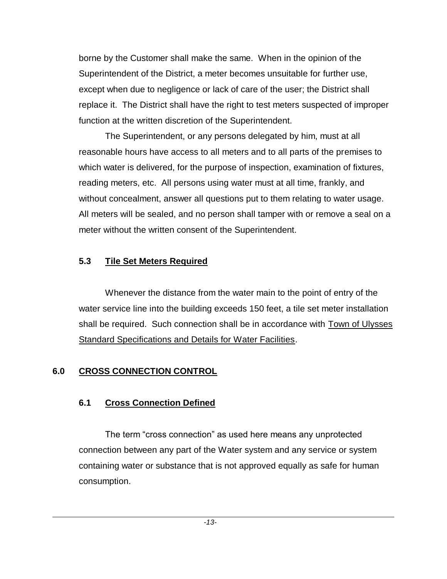borne by the Customer shall make the same. When in the opinion of the Superintendent of the District, a meter becomes unsuitable for further use, except when due to negligence or lack of care of the user; the District shall replace it. The District shall have the right to test meters suspected of improper function at the written discretion of the Superintendent.

The Superintendent, or any persons delegated by him, must at all reasonable hours have access to all meters and to all parts of the premises to which water is delivered, for the purpose of inspection, examination of fixtures, reading meters, etc. All persons using water must at all time, frankly, and without concealment, answer all questions put to them relating to water usage. All meters will be sealed, and no person shall tamper with or remove a seal on a meter without the written consent of the Superintendent.

### **5.3 Tile Set Meters Required**

Whenever the distance from the water main to the point of entry of the water service line into the building exceeds 150 feet, a tile set meter installation shall be required. Such connection shall be in accordance with Town of Ulysses Standard Specifications and Details for Water Facilities.

## **6.0 CROSS CONNECTION CONTROL**

# **6.1 Cross Connection Defined**

The term "cross connection" as used here means any unprotected connection between any part of the Water system and any service or system containing water or substance that is not approved equally as safe for human consumption.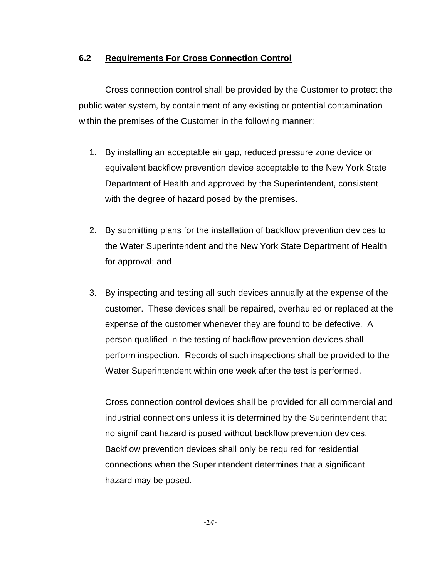## **6.2 Requirements For Cross Connection Control**

Cross connection control shall be provided by the Customer to protect the public water system, by containment of any existing or potential contamination within the premises of the Customer in the following manner:

- 1. By installing an acceptable air gap, reduced pressure zone device or equivalent backflow prevention device acceptable to the New York State Department of Health and approved by the Superintendent, consistent with the degree of hazard posed by the premises.
- 2. By submitting plans for the installation of backflow prevention devices to the Water Superintendent and the New York State Department of Health for approval; and
- 3. By inspecting and testing all such devices annually at the expense of the customer. These devices shall be repaired, overhauled or replaced at the expense of the customer whenever they are found to be defective. A person qualified in the testing of backflow prevention devices shall perform inspection. Records of such inspections shall be provided to the Water Superintendent within one week after the test is performed.

Cross connection control devices shall be provided for all commercial and industrial connections unless it is determined by the Superintendent that no significant hazard is posed without backflow prevention devices. Backflow prevention devices shall only be required for residential connections when the Superintendent determines that a significant hazard may be posed.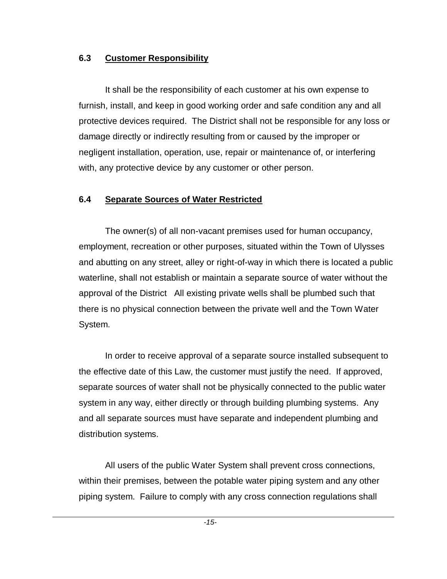### **6.3 Customer Responsibility**

It shall be the responsibility of each customer at his own expense to furnish, install, and keep in good working order and safe condition any and all protective devices required. The District shall not be responsible for any loss or damage directly or indirectly resulting from or caused by the improper or negligent installation, operation, use, repair or maintenance of, or interfering with, any protective device by any customer or other person.

## **6.4 Separate Sources of Water Restricted**

The owner(s) of all non-vacant premises used for human occupancy, employment, recreation or other purposes, situated within the Town of Ulysses and abutting on any street, alley or right-of-way in which there is located a public waterline, shall not establish or maintain a separate source of water without the approval of the District All existing private wells shall be plumbed such that there is no physical connection between the private well and the Town Water System.

In order to receive approval of a separate source installed subsequent to the effective date of this Law, the customer must justify the need. If approved, separate sources of water shall not be physically connected to the public water system in any way, either directly or through building plumbing systems. Any and all separate sources must have separate and independent plumbing and distribution systems.

All users of the public Water System shall prevent cross connections, within their premises, between the potable water piping system and any other piping system. Failure to comply with any cross connection regulations shall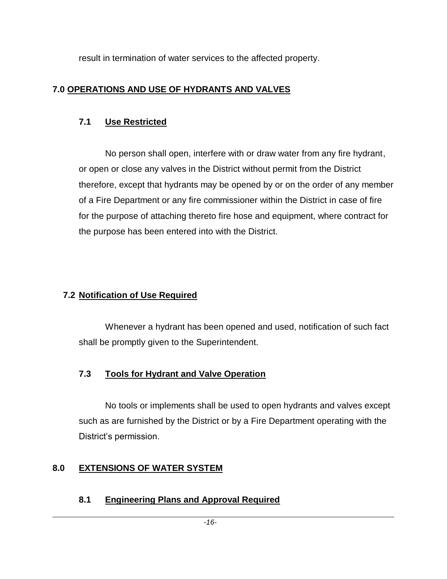result in termination of water services to the affected property.

# **7.0 OPERATIONS AND USE OF HYDRANTS AND VALVES**

# **7.1 Use Restricted**

No person shall open, interfere with or draw water from any fire hydrant, or open or close any valves in the District without permit from the District therefore, except that hydrants may be opened by or on the order of any member of a Fire Department or any fire commissioner within the District in case of fire for the purpose of attaching thereto fire hose and equipment, where contract for the purpose has been entered into with the District.

# **7.2 Notification of Use Required**

Whenever a hydrant has been opened and used, notification of such fact shall be promptly given to the Superintendent.

# **7.3 Tools for Hydrant and Valve Operation**

No tools or implements shall be used to open hydrants and valves except such as are furnished by the District or by a Fire Department operating with the District's permission.

# **8.0 EXTENSIONS OF WATER SYSTEM**

# **8.1 Engineering Plans and Approval Required**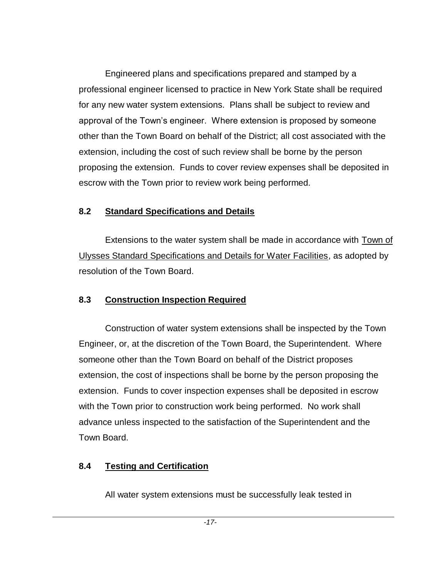Engineered plans and specifications prepared and stamped by a professional engineer licensed to practice in New York State shall be required for any new water system extensions. Plans shall be subject to review and approval of the Town's engineer. Where extension is proposed by someone other than the Town Board on behalf of the District; all cost associated with the extension, including the cost of such review shall be borne by the person proposing the extension. Funds to cover review expenses shall be deposited in escrow with the Town prior to review work being performed.

# **8.2 Standard Specifications and Details**

Extensions to the water system shall be made in accordance with Town of Ulysses Standard Specifications and Details for Water Facilities, as adopted by resolution of the Town Board.

# **8.3 Construction Inspection Required**

Construction of water system extensions shall be inspected by the Town Engineer, or, at the discretion of the Town Board, the Superintendent. Where someone other than the Town Board on behalf of the District proposes extension, the cost of inspections shall be borne by the person proposing the extension. Funds to cover inspection expenses shall be deposited in escrow with the Town prior to construction work being performed. No work shall advance unless inspected to the satisfaction of the Superintendent and the Town Board.

# **8.4 Testing and Certification**

All water system extensions must be successfully leak tested in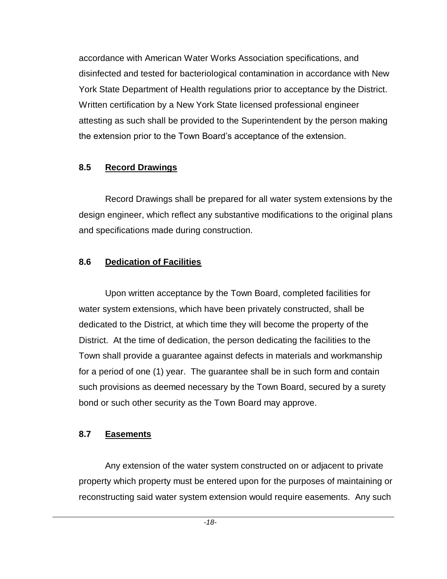accordance with American Water Works Association specifications, and disinfected and tested for bacteriological contamination in accordance with New York State Department of Health regulations prior to acceptance by the District. Written certification by a New York State licensed professional engineer attesting as such shall be provided to the Superintendent by the person making the extension prior to the Town Board's acceptance of the extension.

### **8.5 Record Drawings**

Record Drawings shall be prepared for all water system extensions by the design engineer, which reflect any substantive modifications to the original plans and specifications made during construction.

## **8.6 Dedication of Facilities**

Upon written acceptance by the Town Board, completed facilities for water system extensions, which have been privately constructed, shall be dedicated to the District, at which time they will become the property of the District. At the time of dedication, the person dedicating the facilities to the Town shall provide a guarantee against defects in materials and workmanship for a period of one (1) year. The guarantee shall be in such form and contain such provisions as deemed necessary by the Town Board, secured by a surety bond or such other security as the Town Board may approve.

## **8.7 Easements**

Any extension of the water system constructed on or adjacent to private property which property must be entered upon for the purposes of maintaining or reconstructing said water system extension would require easements. Any such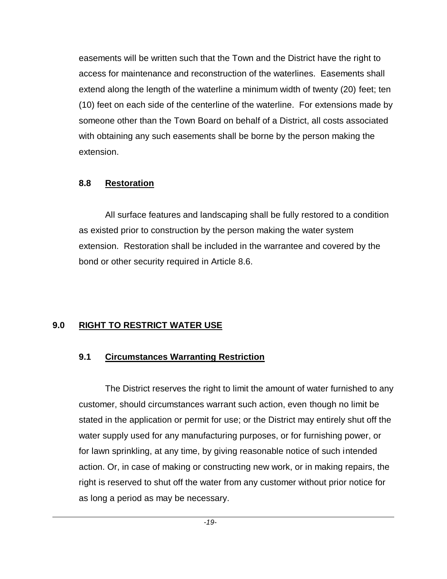easements will be written such that the Town and the District have the right to access for maintenance and reconstruction of the waterlines. Easements shall extend along the length of the waterline a minimum width of twenty (20) feet; ten (10) feet on each side of the centerline of the waterline. For extensions made by someone other than the Town Board on behalf of a District, all costs associated with obtaining any such easements shall be borne by the person making the extension.

### **8.8 Restoration**

All surface features and landscaping shall be fully restored to a condition as existed prior to construction by the person making the water system extension. Restoration shall be included in the warrantee and covered by the bond or other security required in Article 8.6.

# **9.0 RIGHT TO RESTRICT WATER USE**

# **9.1 Circumstances Warranting Restriction**

The District reserves the right to limit the amount of water furnished to any customer, should circumstances warrant such action, even though no limit be stated in the application or permit for use; or the District may entirely shut off the water supply used for any manufacturing purposes, or for furnishing power, or for lawn sprinkling, at any time, by giving reasonable notice of such intended action. Or, in case of making or constructing new work, or in making repairs, the right is reserved to shut off the water from any customer without prior notice for as long a period as may be necessary.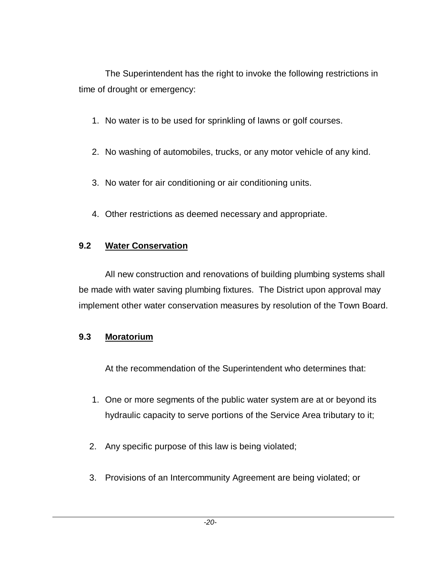The Superintendent has the right to invoke the following restrictions in time of drought or emergency:

- 1. No water is to be used for sprinkling of lawns or golf courses.
- 2. No washing of automobiles, trucks, or any motor vehicle of any kind.
- 3. No water for air conditioning or air conditioning units.
- 4. Other restrictions as deemed necessary and appropriate.

# **9.2 Water Conservation**

All new construction and renovations of building plumbing systems shall be made with water saving plumbing fixtures. The District upon approval may implement other water conservation measures by resolution of the Town Board.

# **9.3 Moratorium**

At the recommendation of the Superintendent who determines that:

- 1. One or more segments of the public water system are at or beyond its hydraulic capacity to serve portions of the Service Area tributary to it;
- 2. Any specific purpose of this law is being violated;
- 3. Provisions of an Intercommunity Agreement are being violated; or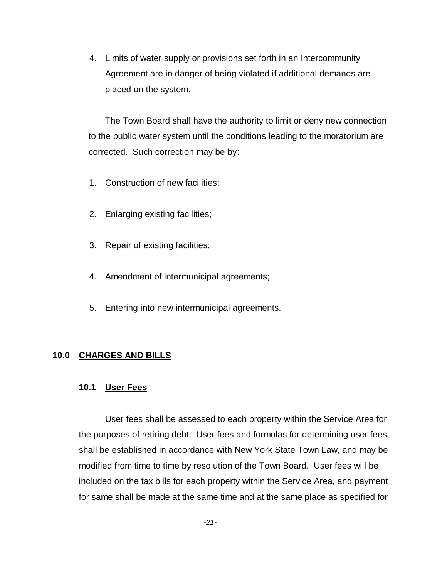4. Limits of water supply or provisions set forth in an Intercommunity Agreement are in danger of being violated if additional demands are placed on the system.

The Town Board shall have the authority to limit or deny new connection to the public water system until the conditions leading to the moratorium are corrected. Such correction may be by:

- 1. Construction of new facilities;
- 2. Enlarging existing facilities;
- 3. Repair of existing facilities;
- 4. Amendment of intermunicipal agreements;
- 5. Entering into new intermunicipal agreements.

# **10.0 CHARGES AND BILLS**

# **10.1 User Fees**

User fees shall be assessed to each property within the Service Area for the purposes of retiring debt. User fees and formulas for determining user fees shall be established in accordance with New York State Town Law, and may be modified from time to time by resolution of the Town Board. User fees will be included on the tax bills for each property within the Service Area, and payment for same shall be made at the same time and at the same place as specified for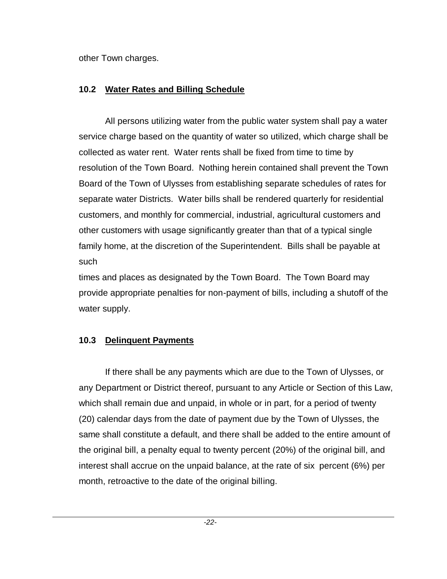other Town charges.

# **10.2 Water Rates and Billing Schedule**

All persons utilizing water from the public water system shall pay a water service charge based on the quantity of water so utilized, which charge shall be collected as water rent. Water rents shall be fixed from time to time by resolution of the Town Board. Nothing herein contained shall prevent the Town Board of the Town of Ulysses from establishing separate schedules of rates for separate water Districts. Water bills shall be rendered quarterly for residential customers, and monthly for commercial, industrial, agricultural customers and other customers with usage significantly greater than that of a typical single family home, at the discretion of the Superintendent. Bills shall be payable at such

times and places as designated by the Town Board. The Town Board may provide appropriate penalties for non-payment of bills, including a shutoff of the water supply.

# **10.3 Delinquent Payments**

If there shall be any payments which are due to the Town of Ulysses, or any Department or District thereof, pursuant to any Article or Section of this Law, which shall remain due and unpaid, in whole or in part, for a period of twenty (20) calendar days from the date of payment due by the Town of Ulysses, the same shall constitute a default, and there shall be added to the entire amount of the original bill, a penalty equal to twenty percent (20%) of the original bill, and interest shall accrue on the unpaid balance, at the rate of six percent (6%) per month, retroactive to the date of the original billing.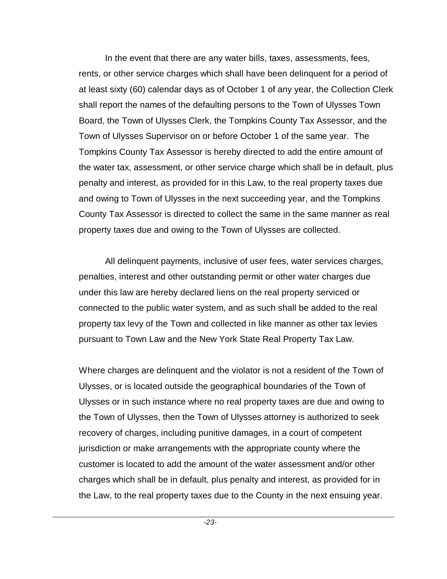In the event that there are any water bills, taxes, assessments, fees, rents, or other service charges which shall have been delinquent for a period of at least sixty (60) calendar days as of October 1 of any year, the Collection Clerk shall report the names of the defaulting persons to the Town of Ulysses Town Board, the Town of Ulysses Clerk, the Tompkins County Tax Assessor, and the Town of Ulysses Supervisor on or before October 1 of the same year. The Tompkins County Tax Assessor is hereby directed to add the entire amount of the water tax, assessment, or other service charge which shall be in default, plus penalty and interest, as provided for in this Law, to the real property taxes due and owing to Town of Ulysses in the next succeeding year, and the Tompkins County Tax Assessor is directed to collect the same in the same manner as real property taxes due and owing to the Town of Ulysses are collected.

All delinquent payments, inclusive of user fees, water services charges, penalties, interest and other outstanding permit or other water charges due under this law are hereby declared liens on the real property serviced or connected to the public water system, and as such shall be added to the real property tax levy of the Town and collected in like manner as other tax levies pursuant to Town Law and the New York State Real Property Tax Law.

Where charges are delinquent and the violator is not a resident of the Town of Ulysses, or is located outside the geographical boundaries of the Town of Ulysses or in such instance where no real property taxes are due and owing to the Town of Ulysses, then the Town of Ulysses attorney is authorized to seek recovery of charges, including punitive damages, in a court of competent jurisdiction or make arrangements with the appropriate county where the customer is located to add the amount of the water assessment and/or other charges which shall be in default, plus penalty and interest, as provided for in the Law, to the real property taxes due to the County in the next ensuing year.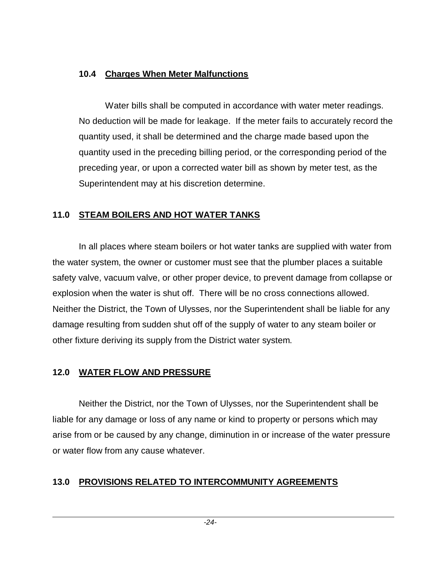### **10.4 Charges When Meter Malfunctions**

Water bills shall be computed in accordance with water meter readings. No deduction will be made for leakage. If the meter fails to accurately record the quantity used, it shall be determined and the charge made based upon the quantity used in the preceding billing period, or the corresponding period of the preceding year, or upon a corrected water bill as shown by meter test, as the Superintendent may at his discretion determine.

## **11.0 STEAM BOILERS AND HOT WATER TANKS**

In all places where steam boilers or hot water tanks are supplied with water from the water system, the owner or customer must see that the plumber places a suitable safety valve, vacuum valve, or other proper device, to prevent damage from collapse or explosion when the water is shut off. There will be no cross connections allowed. Neither the District, the Town of Ulysses, nor the Superintendent shall be liable for any damage resulting from sudden shut off of the supply of water to any steam boiler or other fixture deriving its supply from the District water system.

## **12.0 WATER FLOW AND PRESSURE**

Neither the District, nor the Town of Ulysses, nor the Superintendent shall be liable for any damage or loss of any name or kind to property or persons which may arise from or be caused by any change, diminution in or increase of the water pressure or water flow from any cause whatever.

## **13.0 PROVISIONS RELATED TO INTERCOMMUNITY AGREEMENTS**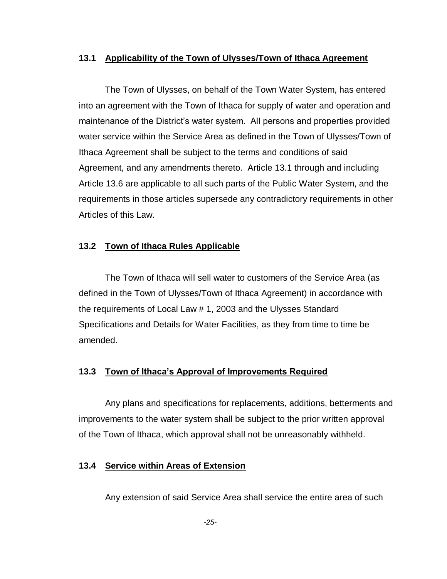### **13.1 Applicability of the Town of Ulysses/Town of Ithaca Agreement**

The Town of Ulysses, on behalf of the Town Water System, has entered into an agreement with the Town of Ithaca for supply of water and operation and maintenance of the District's water system. All persons and properties provided water service within the Service Area as defined in the Town of Ulysses/Town of Ithaca Agreement shall be subject to the terms and conditions of said Agreement, and any amendments thereto. Article 13.1 through and including Article 13.6 are applicable to all such parts of the Public Water System, and the requirements in those articles supersede any contradictory requirements in other Articles of this Law.

### **13.2 Town of Ithaca Rules Applicable**

The Town of Ithaca will sell water to customers of the Service Area (as defined in the Town of Ulysses/Town of Ithaca Agreement) in accordance with the requirements of Local Law # 1, 2003 and the Ulysses Standard Specifications and Details for Water Facilities, as they from time to time be amended.

## **13.3 Town of Ithaca's Approval of Improvements Required**

Any plans and specifications for replacements, additions, betterments and improvements to the water system shall be subject to the prior written approval of the Town of Ithaca, which approval shall not be unreasonably withheld.

## **13.4 Service within Areas of Extension**

Any extension of said Service Area shall service the entire area of such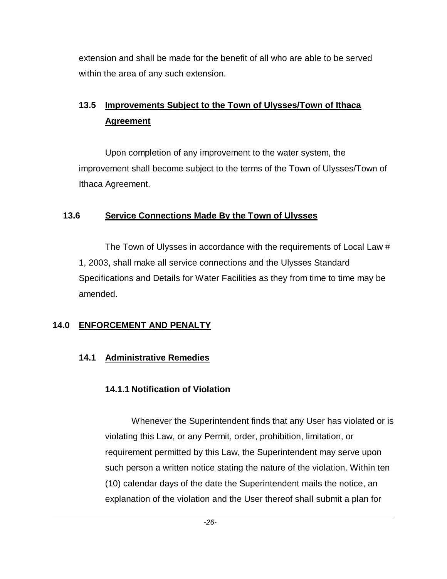extension and shall be made for the benefit of all who are able to be served within the area of any such extension.

# **13.5 Improvements Subject to the Town of Ulysses/Town of Ithaca Agreement**

Upon completion of any improvement to the water system, the improvement shall become subject to the terms of the Town of Ulysses/Town of Ithaca Agreement.

### **13.6 Service Connections Made By the Town of Ulysses**

The Town of Ulysses in accordance with the requirements of Local Law # 1, 2003, shall make all service connections and the Ulysses Standard Specifications and Details for Water Facilities as they from time to time may be amended.

# **14.0 ENFORCEMENT AND PENALTY**

# **14.1 Administrative Remedies**

# **14.1.1 Notification of Violation**

Whenever the Superintendent finds that any User has violated or is violating this Law, or any Permit, order, prohibition, limitation, or requirement permitted by this Law, the Superintendent may serve upon such person a written notice stating the nature of the violation. Within ten (10) calendar days of the date the Superintendent mails the notice, an explanation of the violation and the User thereof shall submit a plan for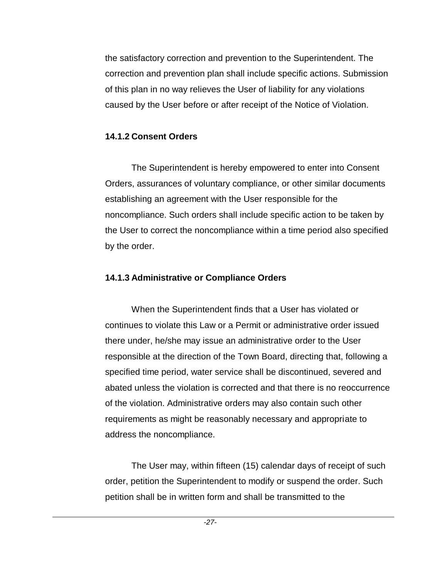the satisfactory correction and prevention to the Superintendent. The correction and prevention plan shall include specific actions. Submission of this plan in no way relieves the User of liability for any violations caused by the User before or after receipt of the Notice of Violation.

### **14.1.2 Consent Orders**

The Superintendent is hereby empowered to enter into Consent Orders, assurances of voluntary compliance, or other similar documents establishing an agreement with the User responsible for the noncompliance. Such orders shall include specific action to be taken by the User to correct the noncompliance within a time period also specified by the order.

## **14.1.3 Administrative or Compliance Orders**

When the Superintendent finds that a User has violated or continues to violate this Law or a Permit or administrative order issued there under, he/she may issue an administrative order to the User responsible at the direction of the Town Board, directing that, following a specified time period, water service shall be discontinued, severed and abated unless the violation is corrected and that there is no reoccurrence of the violation. Administrative orders may also contain such other requirements as might be reasonably necessary and appropriate to address the noncompliance.

The User may, within fifteen (15) calendar days of receipt of such order, petition the Superintendent to modify or suspend the order. Such petition shall be in written form and shall be transmitted to the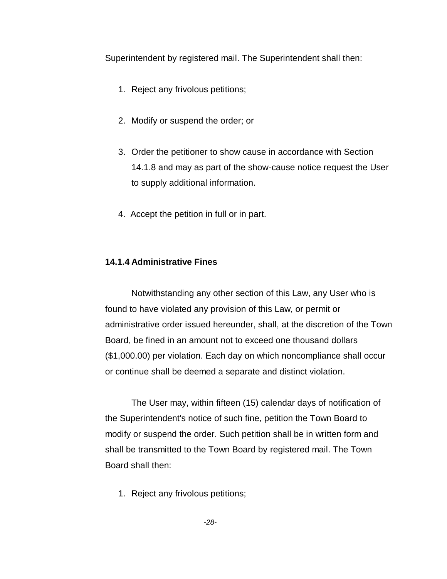Superintendent by registered mail. The Superintendent shall then:

- 1. Reject any frivolous petitions;
- 2. Modify or suspend the order; or
- 3. Order the petitioner to show cause in accordance with Section 14.1.8 and may as part of the show-cause notice request the User to supply additional information.
- 4. Accept the petition in full or in part.

# **14.1.4 Administrative Fines**

Notwithstanding any other section of this Law, any User who is found to have violated any provision of this Law, or permit or administrative order issued hereunder, shall, at the discretion of the Town Board, be fined in an amount not to exceed one thousand dollars (\$1,000.00) per violation. Each day on which noncompliance shall occur or continue shall be deemed a separate and distinct violation.

The User may, within fifteen (15) calendar days of notification of the Superintendent's notice of such fine, petition the Town Board to modify or suspend the order. Such petition shall be in written form and shall be transmitted to the Town Board by registered mail. The Town Board shall then:

1. Reject any frivolous petitions;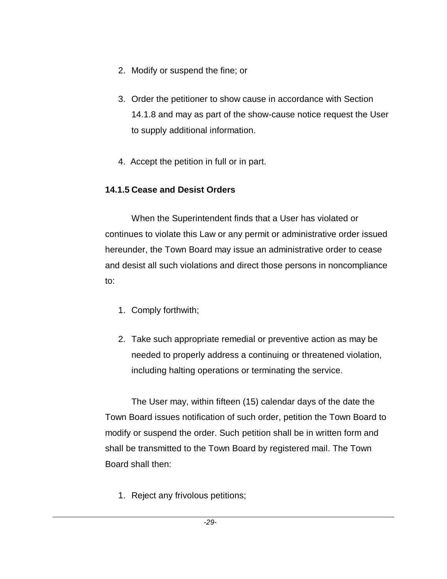- 2. Modify or suspend the fine; or
- 3. Order the petitioner to show cause in accordance with Section 14.1.8 and may as part of the show-cause notice request the User to supply additional information.
- 4. Accept the petition in full or in part.

# **14.1.5 Cease and Desist Orders**

When the Superintendent finds that a User has violated or continues to violate this Law or any permit or administrative order issued hereunder, the Town Board may issue an administrative order to cease and desist all such violations and direct those persons in noncompliance to:

- 1. Comply forthwith;
- 2. Take such appropriate remedial or preventive action as may be needed to properly address a continuing or threatened violation, including halting operations or terminating the service.

The User may, within fifteen (15) calendar days of the date the Town Board issues notification of such order, petition the Town Board to modify or suspend the order. Such petition shall be in written form and shall be transmitted to the Town Board by registered mail. The Town Board shall then:

1. Reject any frivolous petitions;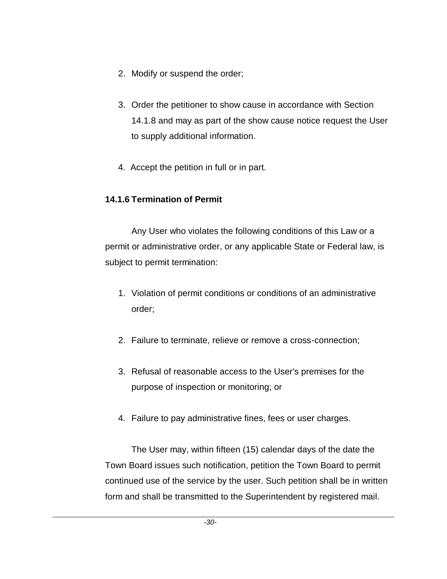- 2. Modify or suspend the order;
- 3. Order the petitioner to show cause in accordance with Section 14.1.8 and may as part of the show cause notice request the User to supply additional information.
- 4. Accept the petition in full or in part.

## **14.1.6 Termination of Permit**

Any User who violates the following conditions of this Law or a permit or administrative order, or any applicable State or Federal law, is subject to permit termination:

- 1. Violation of permit conditions or conditions of an administrative order;
- 2. Failure to terminate, relieve or remove a cross-connection;
- 3. Refusal of reasonable access to the User's premises for the purpose of inspection or monitoring; or
- 4. Failure to pay administrative fines, fees or user charges.

The User may, within fifteen (15) calendar days of the date the Town Board issues such notification, petition the Town Board to permit continued use of the service by the user. Such petition shall be in written form and shall be transmitted to the Superintendent by registered mail.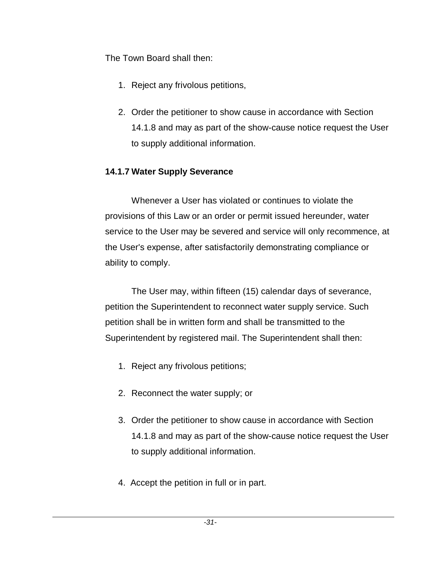The Town Board shall then:

- 1. Reject any frivolous petitions,
- 2. Order the petitioner to show cause in accordance with Section 14.1.8 and may as part of the show-cause notice request the User to supply additional information.

# **14.1.7 Water Supply Severance**

Whenever a User has violated or continues to violate the provisions of this Law or an order or permit issued hereunder, water service to the User may be severed and service will only recommence, at the User's expense, after satisfactorily demonstrating compliance or ability to comply.

The User may, within fifteen (15) calendar days of severance, petition the Superintendent to reconnect water supply service. Such petition shall be in written form and shall be transmitted to the Superintendent by registered mail. The Superintendent shall then:

- 1. Reject any frivolous petitions;
- 2. Reconnect the water supply; or
- 3. Order the petitioner to show cause in accordance with Section 14.1.8 and may as part of the show-cause notice request the User to supply additional information.
- 4. Accept the petition in full or in part.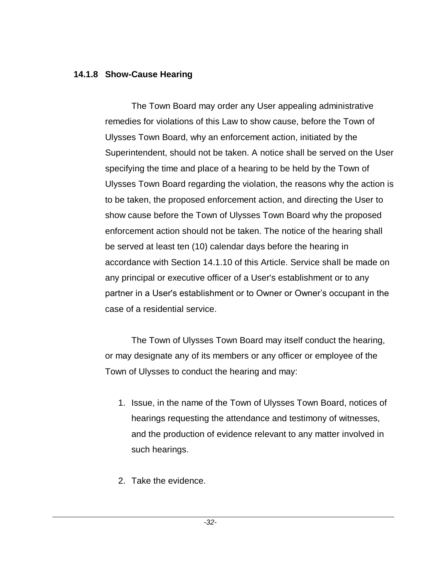#### **14.1.8 Show-Cause Hearing**

The Town Board may order any User appealing administrative remedies for violations of this Law to show cause, before the Town of Ulysses Town Board, why an enforcement action, initiated by the Superintendent, should not be taken. A notice shall be served on the User specifying the time and place of a hearing to be held by the Town of Ulysses Town Board regarding the violation, the reasons why the action is to be taken, the proposed enforcement action, and directing the User to show cause before the Town of Ulysses Town Board why the proposed enforcement action should not be taken. The notice of the hearing shall be served at least ten (10) calendar days before the hearing in accordance with Section 14.1.10 of this Article. Service shall be made on any principal or executive officer of a User's establishment or to any partner in a User's establishment or to Owner or Owner's occupant in the case of a residential service.

The Town of Ulysses Town Board may itself conduct the hearing, or may designate any of its members or any officer or employee of the Town of Ulysses to conduct the hearing and may:

- 1. Issue, in the name of the Town of Ulysses Town Board, notices of hearings requesting the attendance and testimony of witnesses, and the production of evidence relevant to any matter involved in such hearings.
- 2. Take the evidence.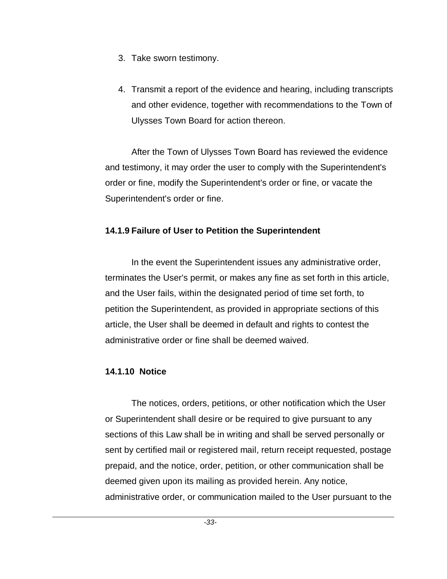- 3. Take sworn testimony.
- 4. Transmit a report of the evidence and hearing, including transcripts and other evidence, together with recommendations to the Town of Ulysses Town Board for action thereon.

After the Town of Ulysses Town Board has reviewed the evidence and testimony, it may order the user to comply with the Superintendent's order or fine, modify the Superintendent's order or fine, or vacate the Superintendent's order or fine.

### **14.1.9 Failure of User to Petition the Superintendent**

In the event the Superintendent issues any administrative order, terminates the User's permit, or makes any fine as set forth in this article, and the User fails, within the designated period of time set forth, to petition the Superintendent, as provided in appropriate sections of this article, the User shall be deemed in default and rights to contest the administrative order or fine shall be deemed waived.

### **14.1.10 Notice**

The notices, orders, petitions, or other notification which the User or Superintendent shall desire or be required to give pursuant to any sections of this Law shall be in writing and shall be served personally or sent by certified mail or registered mail, return receipt requested, postage prepaid, and the notice, order, petition, or other communication shall be deemed given upon its mailing as provided herein. Any notice, administrative order, or communication mailed to the User pursuant to the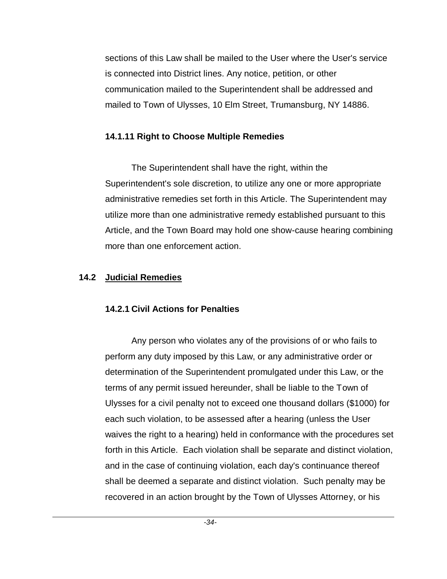sections of this Law shall be mailed to the User where the User's service is connected into District lines. Any notice, petition, or other communication mailed to the Superintendent shall be addressed and mailed to Town of Ulysses, 10 Elm Street, Trumansburg, NY 14886.

### **14.1.11 Right to Choose Multiple Remedies**

The Superintendent shall have the right, within the Superintendent's sole discretion, to utilize any one or more appropriate administrative remedies set forth in this Article. The Superintendent may utilize more than one administrative remedy established pursuant to this Article, and the Town Board may hold one show-cause hearing combining more than one enforcement action.

## **14.2 Judicial Remedies**

## **14.2.1 Civil Actions for Penalties**

Any person who violates any of the provisions of or who fails to perform any duty imposed by this Law, or any administrative order or determination of the Superintendent promulgated under this Law, or the terms of any permit issued hereunder, shall be liable to the Town of Ulysses for a civil penalty not to exceed one thousand dollars (\$1000) for each such violation, to be assessed after a hearing (unless the User waives the right to a hearing) held in conformance with the procedures set forth in this Article. Each violation shall be separate and distinct violation, and in the case of continuing violation, each day's continuance thereof shall be deemed a separate and distinct violation. Such penalty may be recovered in an action brought by the Town of Ulysses Attorney, or his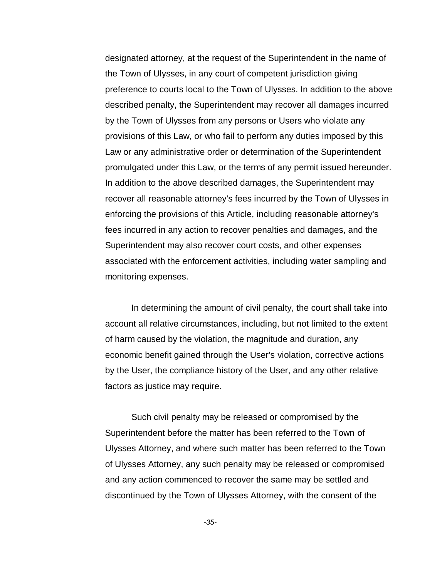designated attorney, at the request of the Superintendent in the name of the Town of Ulysses, in any court of competent jurisdiction giving preference to courts local to the Town of Ulysses. In addition to the above described penalty, the Superintendent may recover all damages incurred by the Town of Ulysses from any persons or Users who violate any provisions of this Law, or who fail to perform any duties imposed by this Law or any administrative order or determination of the Superintendent promulgated under this Law, or the terms of any permit issued hereunder. In addition to the above described damages, the Superintendent may recover all reasonable attorney's fees incurred by the Town of Ulysses in enforcing the provisions of this Article, including reasonable attorney's fees incurred in any action to recover penalties and damages, and the Superintendent may also recover court costs, and other expenses associated with the enforcement activities, including water sampling and monitoring expenses.

In determining the amount of civil penalty, the court shall take into account all relative circumstances, including, but not limited to the extent of harm caused by the violation, the magnitude and duration, any economic benefit gained through the User's violation, corrective actions by the User, the compliance history of the User, and any other relative factors as justice may require.

Such civil penalty may be released or compromised by the Superintendent before the matter has been referred to the Town of Ulysses Attorney, and where such matter has been referred to the Town of Ulysses Attorney, any such penalty may be released or compromised and any action commenced to recover the same may be settled and discontinued by the Town of Ulysses Attorney, with the consent of the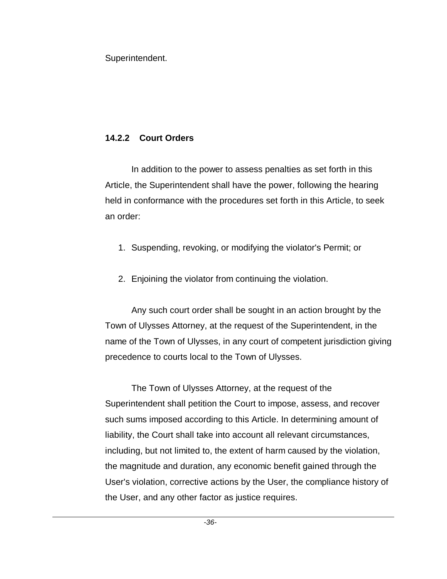Superintendent.

# **14.2.2 Court Orders**

In addition to the power to assess penalties as set forth in this Article, the Superintendent shall have the power, following the hearing held in conformance with the procedures set forth in this Article, to seek an order:

- 1. Suspending, revoking, or modifying the violator's Permit; or
- 2. Enjoining the violator from continuing the violation.

Any such court order shall be sought in an action brought by the Town of Ulysses Attorney, at the request of the Superintendent, in the name of the Town of Ulysses, in any court of competent jurisdiction giving precedence to courts local to the Town of Ulysses.

The Town of Ulysses Attorney, at the request of the Superintendent shall petition the Court to impose, assess, and recover such sums imposed according to this Article. In determining amount of liability, the Court shall take into account all relevant circumstances, including, but not limited to, the extent of harm caused by the violation, the magnitude and duration, any economic benefit gained through the User's violation, corrective actions by the User, the compliance history of the User, and any other factor as justice requires.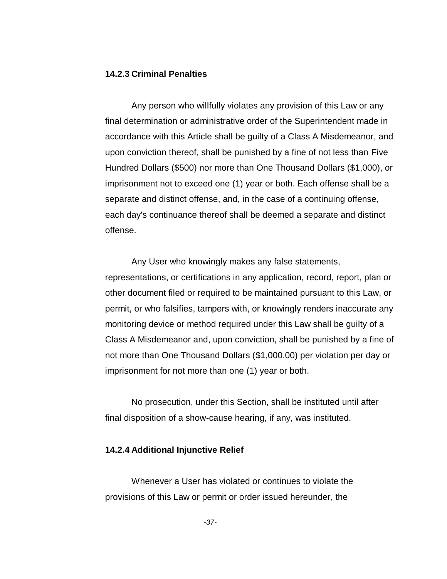#### **14.2.3 Criminal Penalties**

Any person who willfully violates any provision of this Law or any final determination or administrative order of the Superintendent made in accordance with this Article shall be guilty of a Class A Misdemeanor, and upon conviction thereof, shall be punished by a fine of not less than Five Hundred Dollars (\$500) nor more than One Thousand Dollars (\$1,000), or imprisonment not to exceed one (1) year or both. Each offense shall be a separate and distinct offense, and, in the case of a continuing offense, each day's continuance thereof shall be deemed a separate and distinct offense.

Any User who knowingly makes any false statements, representations, or certifications in any application, record, report, plan or other document filed or required to be maintained pursuant to this Law, or permit, or who falsifies, tampers with, or knowingly renders inaccurate any monitoring device or method required under this Law shall be guilty of a Class A Misdemeanor and, upon conviction, shall be punished by a fine of not more than One Thousand Dollars (\$1,000.00) per violation per day or imprisonment for not more than one (1) year or both.

No prosecution, under this Section, shall be instituted until after final disposition of a show-cause hearing, if any, was instituted.

### **14.2.4 Additional Injunctive Relief**

Whenever a User has violated or continues to violate the provisions of this Law or permit or order issued hereunder, the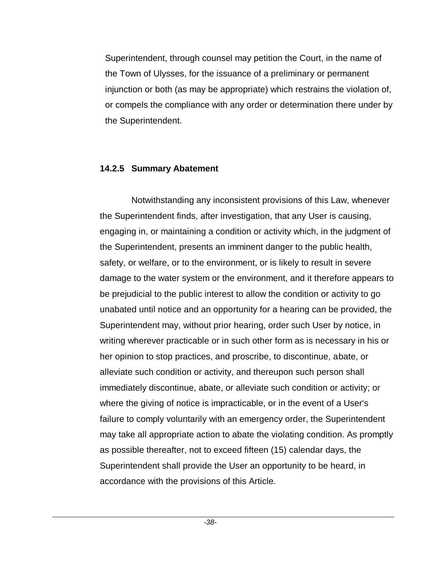Superintendent, through counsel may petition the Court, in the name of the Town of Ulysses, for the issuance of a preliminary or permanent injunction or both (as may be appropriate) which restrains the violation of, or compels the compliance with any order or determination there under by the Superintendent.

#### **14.2.5 Summary Abatement**

Notwithstanding any inconsistent provisions of this Law, whenever the Superintendent finds, after investigation, that any User is causing, engaging in, or maintaining a condition or activity which, in the judgment of the Superintendent, presents an imminent danger to the public health, safety, or welfare, or to the environment, or is likely to result in severe damage to the water system or the environment, and it therefore appears to be prejudicial to the public interest to allow the condition or activity to go unabated until notice and an opportunity for a hearing can be provided, the Superintendent may, without prior hearing, order such User by notice, in writing wherever practicable or in such other form as is necessary in his or her opinion to stop practices, and proscribe, to discontinue, abate, or alleviate such condition or activity, and thereupon such person shall immediately discontinue, abate, or alleviate such condition or activity; or where the giving of notice is impracticable, or in the event of a User's failure to comply voluntarily with an emergency order, the Superintendent may take all appropriate action to abate the violating condition. As promptly as possible thereafter, not to exceed fifteen (15) calendar days, the Superintendent shall provide the User an opportunity to be heard, in accordance with the provisions of this Article.